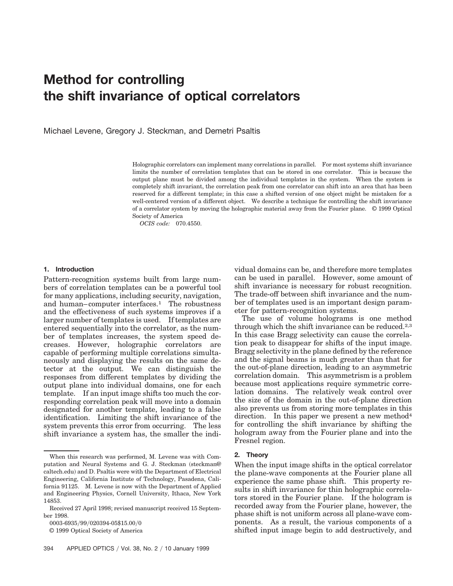# **Method for controlling the shift invariance of optical correlators**

Michael Levene, Gregory J. Steckman, and Demetri Psaltis

Holographic correlators can implement many correlations in parallel. For most systems shift invariance limits the number of correlation templates that can be stored in one correlator. This is because the output plane must be divided among the individual templates in the system. When the system is completely shift invariant, the correlation peak from one correlator can shift into an area that has been reserved for a different template; in this case a shifted version of one object might be mistaken for a well-centered version of a different object. We describe a technique for controlling the shift invariance of a correlator system by moving the holographic material away from the Fourier plane. © 1999 Optical Society of America

*OCIS code:* 070.4550.

### **1. Introduction**

Pattern-recognition systems built from large numbers of correlation templates can be a powerful tool for many applications, including security, navigation, and human–computer interfaces.1 The robustness and the effectiveness of such systems improves if a larger number of templates is used. If templates are entered sequentially into the correlator, as the number of templates increases, the system speed decreases. However, holographic correlators are capable of performing multiple correlations simultaneously and displaying the results on the same detector at the output. We can distinguish the responses from different templates by dividing the output plane into individual domains, one for each template. If an input image shifts too much the corresponding correlation peak will move into a domain designated for another template, leading to a false identification. Limiting the shift invariance of the system prevents this error from occurring. The less shift invariance a system has, the smaller the individual domains can be, and therefore more templates can be used in parallel. However, some amount of shift invariance is necessary for robust recognition. The trade-off between shift invariance and the number of templates used is an important design parameter for pattern-recognition systems.

The use of volume holograms is one method through which the shift invariance can be reduced.<sup>2,3</sup> In this case Bragg selectivity can cause the correlation peak to disappear for shifts of the input image. Bragg selectivity in the plane defined by the reference and the signal beams is much greater than that for the out-of-plane direction, leading to an asymmetric correlation domain. This asymmetrism is a problem because most applications require symmetric correlation domains. The relatively weak control over the size of the domain in the out-of-plane direction also prevents us from storing more templates in this direction. In this paper we present a new method<sup>4</sup> for controlling the shift invariance by shifting the hologram away from the Fourier plane and into the Fresnel region.

# **2. Theory**

When the input image shifts in the optical correlator the plane-wave components at the Fourier plane all experience the same phase shift. This property results in shift invariance for thin holographic correlators stored in the Fourier plane. If the hologram is recorded away from the Fourier plane, however, the phase shift is not uniform across all plane-wave components. As a result, the various components of a shifted input image begin to add destructively, and

When this research was performed, M. Levene was with Computation and Neural Systems and G. J. Steckman (steckman@ caltech.edu) and D. Psaltis were with the Department of Electrical Engineering, California Institute of Technology, Pasadena, California 91125. M. Levene is now with the Department of Applied and Engineering Physics, Cornell University, Ithaca, New York 14853.

Received 27 April 1998; revised manuscript received 15 September 1998.

<sup>0003-6935/99/020394-05\$15.00/0</sup> 

<sup>© 1999</sup> Optical Society of America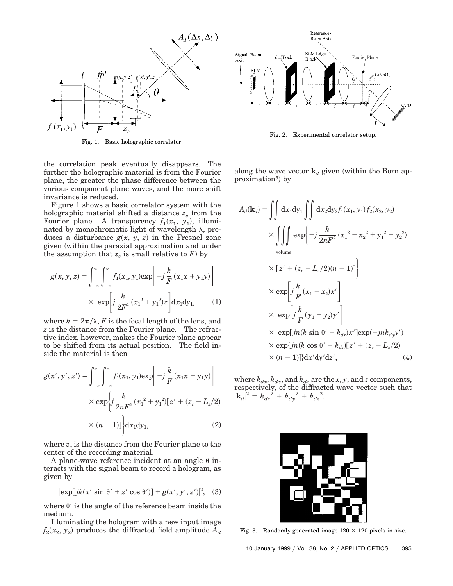

Fig. 1. Basic holographic correlator.

the correlation peak eventually disappears. The further the holographic material is from the Fourier plane, the greater the phase difference between the various component plane waves, and the more shift invariance is reduced.

Figure 1 shows a basic correlator system with the holographic material shifted a distance  $z_c$  from the Fourier plane. A transparency  $f_1(x_1, y_1)$ , illuminated by monochromatic light of wavelength  $\lambda$ , produces a disturbance  $g(x, y, z)$  in the Fresnel zone given (within the paraxial approximation and under the assumption that  $z_c$  is small relative to  $\overline{F}$ ) by

$$
g(x, y, z) = \int_{-\infty}^{\infty} \int_{-\infty}^{\infty} f_1(x_1, y_1) \exp\left[-j\frac{k}{F}(x_1x + y_1y)\right]
$$

$$
\times \exp\left[j\frac{k}{2F^2}(x_1^2 + y_1^2)z\right] dx_1 dy_1, \qquad (1)
$$

where  $k = 2\pi/\lambda$ , *F* is the focal length of the lens, and *z* is the distance from the Fourier plane. The refractive index, however, makes the Fourier plane appear to be shifted from its actual position. The field inside the material is then

$$
g(x', y', z') = \int_{-\infty}^{\infty} \int_{-\infty}^{\infty} f_1(x_1, y_1) \exp\left[-j\frac{k}{F}(x_1x + y_1y)\right] \times \exp\left\{j\frac{k}{2nF^2}(x_1^2 + y_1^2)[z' + (z_c - L_z/2)] \right\} \times (n-1)] \text{d}x_1 \text{d}y_1,
$$
 (2)

where  $z_c$  is the distance from the Fourier plane to the center of the recording material.

A plane-wave reference incident at an angle  $\theta$  interacts with the signal beam to record a hologram, as given by

$$
|\exp[jk(x' \sin \theta' + z' \cos \theta')] + g(x', y', z')|^2
$$
, (3)

where  $\theta'$  is the angle of the reference beam inside the medium.

Illuminating the hologram with a new input image  $f_2(x_2, y_2)$  produces the diffracted field amplitude  $A_d$ 



Fig. 2. Experimental correlator setup.

along the wave vector  $\mathbf{k}_d$  given (within the Born approximation<sup>5</sup>) by

$$
A_d(\mathbf{k}_d) = \iint dx_1 dy_1 \iint dx_2 dy_2 f_1(x_1, y_1) f_2(x_2, y_2)
$$
  
\n
$$
\times \iiint_{\text{volume}} \exp\left\{-j\frac{k}{2nF^2}(x_1^2 - x_2^2 + y_1^2 - y_2^2)\right\}
$$
  
\n
$$
\times [z' + (z_c - L_z/2)(n - 1)]\right\}
$$
  
\n
$$
\times \exp\left[j\frac{k}{F}(x_1 - x_2)x'\right]
$$
  
\n
$$
\times \exp\left[j\frac{k}{F}(y_1 - y_2)y'\right]
$$
  
\n
$$
\times \exp[jn(k \sin \theta' - k_{dx})x'] \exp(-jnk_{dy}y')
$$
  
\n
$$
\times \exp\{jn(k \cos \theta' - k_{dz})[z' + (z_c - L_z/2)\right)
$$
  
\n
$$
\times (n - 1)]\}dx'dy'dz', \qquad (4)
$$

where  $k_{dx}$ ,  $k_{dy}$ , and  $k_{dz}$  are the *x*, *y*, and *z* components, respectively, of the diffracted wave vector such that  $|\mathbf{k}_d|^2 = k_{dx}^2 + k_{dy}^2 + k_{dz}^2.$ 



Fig. 3. Randomly generated image  $120 \times 120$  pixels in size.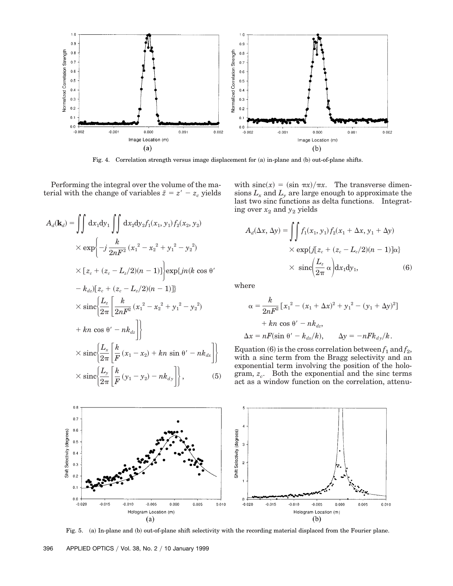

Fig. 4. Correlation strength versus image displacement for (a) in-plane and (b) out-of-plane shifts.

Performing the integral over the volume of the material with the change of variables  $\tilde{z} = z' - z_c$  yields

$$
A_d(\mathbf{k}_d) = \iint dx_1 dy_1 \iint dx_2 dy_2 f_1(x_1, y_1) f_2(x_2, y_2)
$$
  
\n
$$
\times \exp\left\{-j\frac{k}{2nF^2}(x_1^2 - x_2^2 + y_1^2 - y_2^2)\right\}
$$
  
\n
$$
\times [z_c + (z_c - L_z/2)(n - 1)] \exp\{jn(k \cos \theta' - k_{dz})[z_c + (z_c - L_z/2)(n - 1)]\}
$$
  
\n
$$
\times \operatorname{sinc}\left\{\frac{L_z}{2\pi} \left[\frac{k}{2nF^2}(x_1^2 - x_2^2 + y_1^2 - y_2^2)\right.\right.
$$
  
\n
$$
+ kn \cos \theta' - nk_{dz}\right\}
$$
  
\n
$$
\times \operatorname{sinc}\left\{\frac{L_z}{2\pi} \left[\frac{k}{F}(x_1 - x_2) + kn \sin \theta' - nk_{dx}\right]\right\}
$$
  
\n
$$
\times \operatorname{sinc}\left\{\frac{L_y}{2\pi} \left[\frac{k}{F}(y_1 - y_2) - nk_{dy}\right]\right\},
$$
 (5)

with  $\text{sinc}(x) = (\sin \pi x)/\pi x$ . The transverse dimensions  $L_x$  and  $L_y$  are large enough to approximate the last two sinc functions as delta functions. Integrating over  $x_2$  and  $y_2$  yields

$$
A_d(\Delta x, \Delta y) = \iint f_1(x_1, y_1) f_2(x_1 + \Delta x, y_1 + \Delta y)
$$
  
 
$$
\times \exp\{j[z_c + (z_c - L_c/2)(n-1)]\alpha\}
$$
  
 
$$
\times \operatorname{sinc}\left(\frac{L_z}{2\pi}\alpha\right) dx_1 dy_1,
$$
 (6)

where

$$
\alpha = \frac{k}{2nF^2} \left[ x_1^2 - (x_1 + \Delta x)^2 + y_1^2 - (y_1 + \Delta y)^2 \right]
$$
  
+  $kn \cos \theta' - nk_{dz}$ ,  

$$
\Delta x = nF(\sin \theta' - k_{dx}/k), \qquad \Delta y = -nFk_{dy}/k.
$$

Equation  $(6)$  is the cross correlation between  $f_1$  and  $f_2$ , with a sinc term from the Bragg selectivity and an exponential term involving the position of the hologram,  $z_c$ . Both the exponential and the sinc terms act as a window function on the correlation, attenu-



Fig. 5. (a) In-plane and (b) out-of-plane shift selectivity with the recording material displaced from the Fourier plane.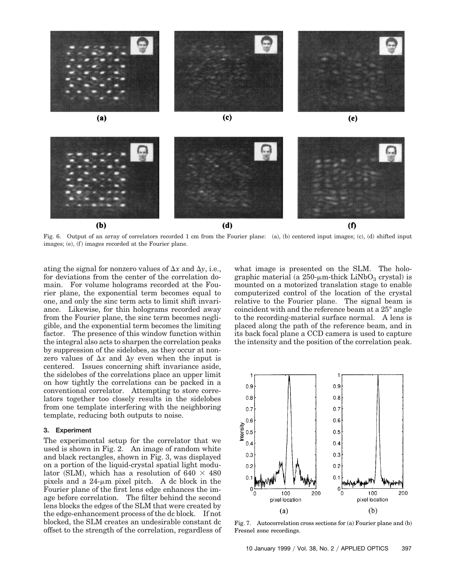

Fig. 6. Output of an array of correlators recorded 1 cm from the Fourier plane: (a), (b) centered input images; (c), (d) shifted input  $images; (e), (f) images recorded at the Fourier plane.$ 

ating the signal for nonzero values of  $\Delta x$  and  $\Delta y$ , i.e., for deviations from the center of the correlation domain. For volume holograms recorded at the Fourier plane, the exponential term becomes equal to one, and only the sinc term acts to limit shift invariance. Likewise, for thin holograms recorded away from the Fourier plane, the sinc term becomes negligible, and the exponential term becomes the limiting factor. The presence of this window function within the integral also acts to sharpen the correlation peaks by suppression of the sidelobes, as they occur at nonzero values of  $\Delta x$  and  $\Delta y$  even when the input is centered. Issues concerning shift invariance aside, the sidelobes of the correlations place an upper limit on how tightly the correlations can be packed in a conventional correlator. Attempting to store correlators together too closely results in the sidelobes from one template interfering with the neighboring template, reducing both outputs to noise.

#### **3. Experiment**

The experimental setup for the correlator that we used is shown in Fig. 2. An image of random white and black rectangles, shown in Fig. 3, was displayed on a portion of the liquid-crystal spatial light modulator (SLM), which has a resolution of 640  $\times$  480 pixels and a  $24-\mu m$  pixel pitch. A dc block in the Fourier plane of the first lens edge enhances the image before correlation. The filter behind the second lens blocks the edges of the SLM that were created by the edge-enhancement process of the dc block. If not blocked, the SLM creates an undesirable constant dc offset to the strength of the correlation, regardless of what image is presented on the SLM. The holographic material (a  $250$ - $\mu$ m-thick LiNbO<sub>3</sub> crystal) is mounted on a motorized translation stage to enable computerized control of the location of the crystal relative to the Fourier plane. The signal beam is coincident with and the reference beam at a 25° angle to the recording-material surface normal. A lens is placed along the path of the reference beam, and in its back focal plane a CCD camera is used to capture the intensity and the position of the correlation peak.



Fig. 7. Autocorrelation cross sections for  $(a)$  Fourier plane and  $(b)$ Fresnel zone recordings.